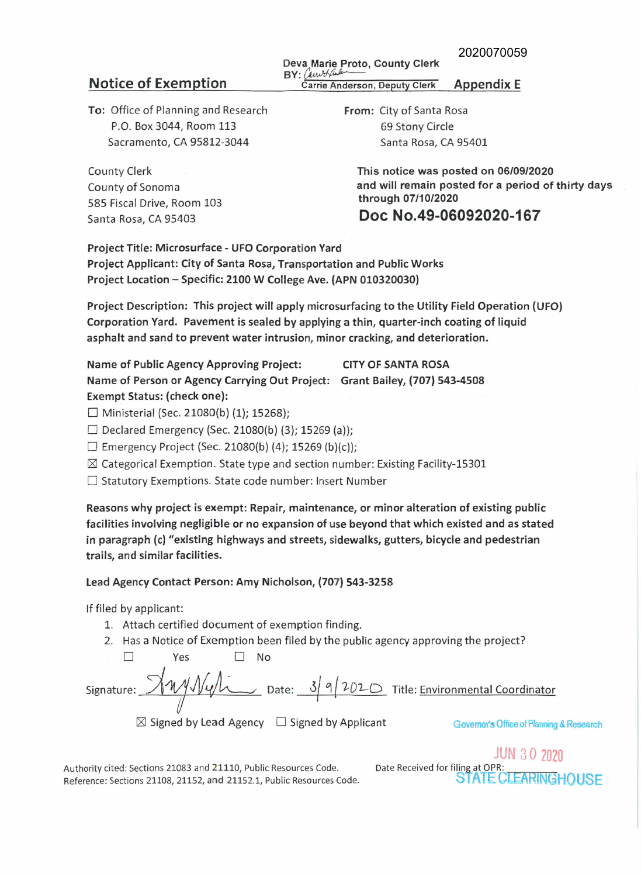## Deva Marie Proto, County Clerk **BY:** *f),wJrf/J .••* J,,·- **Notice of Exemption** BY: *CALWH Garrie Anderson, Deputy Clerk* **Appendix E**

To: Office of Planning and Research P.O. Box 3044, Room 113 Sacramento, CA 95812-3044

County of Sonoma 585 Fiscal Drive, Room 103 Santa Rosa, CA 95403

From: City of Santa Rosa 69 Stony Circle Santa Rosa, CA 95401

County Clerk This notice was posted on 06/09/2020 and will remain posted for a period of thirty days through 07/10/2020

Doc No.49-06092020-167

Project Title: Microsurface - UFO Corporation Yard Project Applicant: City of Santa Rosa, Transportation and Public Works Project Location - Specific: 2100 W College Ave. (APN 010320030)

Project Description: This project will apply microsurfacing to the Utility Field Operation {UFO) Corporation Yard. Pavement is sealed by applying a thin, quarter-inch coating of liquid asphalt and sand to prevent water intrusion, minor cracking, and deterioration.

Name of Public Agency Approving Project: CITY OF SANTA ROSA Name of Person or Agency Carrying Out Project: Grant Bailey, {707) 543-4508 Exempt Status: (check one):

 $\Box$  Ministerial (Sec. 21080(b) (1); 15268);

 $\Box$  Declared Emergency (Sec. 21080(b) (3); 15269 (a));

 $\Box$  Emergency Project (Sec. 21080(b) (4); 15269 (b)(c));

 $\boxtimes$  Categorical Exemption. State type and section number: Existing Facility-15301

□ Statutory Exemptions. State code number: Insert Number

Reasons why project is exempt: Repair, maintenance, or minor alteration of existing public facilities involving negligible or no expansion of use beyond that which existed and as stated in paragraph (c) "existing highways and streets, sidewalks, gutters, bicycle and pedestrian trails, and similar facilities.

Lead Agency Contact Person: Amy Nicholson, (707) 543-3258

If filed by applicant:

- 1. Attach certified document of exemption finding.
- 2. Has a Notice of Exemption been filed by the public agency approving the project?

□ Yes D No If filed by applicant:<br>
1. Attach certified document of exemption finding.<br>
2. Has a Notice of Exemption been filed by the public agency approving the project?<br>  $\Box$  Yes  $\Box$  No<br>
Signature:  $\sqrt{\frac{M M \sqrt{M M}}{M}}$  Date:  $\frac{3}{$ 

 $\boxtimes$  Signed by Lead Agency  $\Box$  Signed by Applicant Governor's Office of Planning & Research

**JUN 30 2020** Date Received for filing at OPR: STATE CLEARINGHOUSE

Authority cited: Sections 21083 and 21110, Public Resources Code. Reference: Sections 21108, 21152, and 21152.1, Public Resources Code.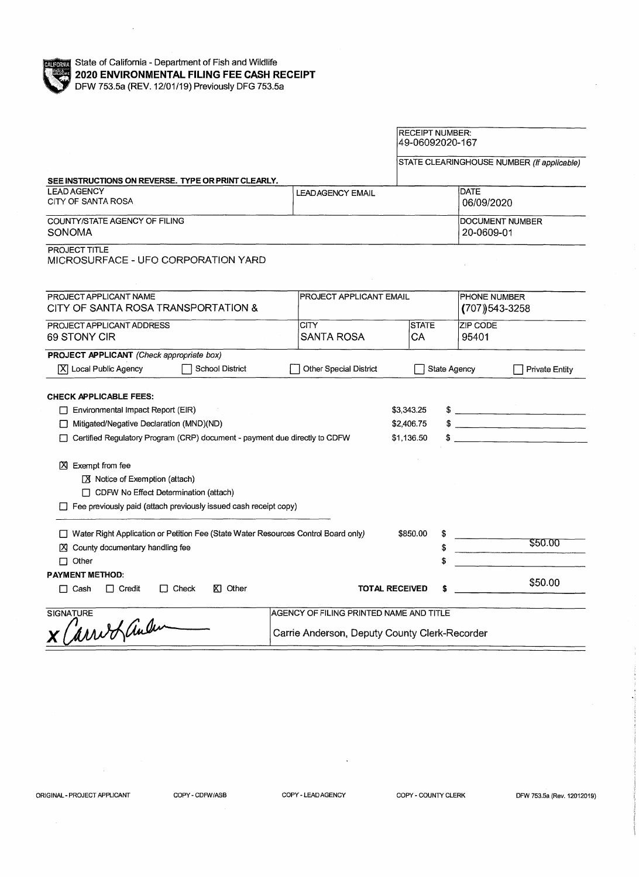

|                                                                                          |                                               | <b>RECEIPT NUMBER:</b><br>49-06092020-167 |                               |                          |                                            |  |
|------------------------------------------------------------------------------------------|-----------------------------------------------|-------------------------------------------|-------------------------------|--------------------------|--------------------------------------------|--|
|                                                                                          |                                               |                                           |                               |                          | STATE CLEARINGHOUSE NUMBER (If applicable) |  |
| SEE INSTRUCTIONS ON REVERSE. TYPE OR PRINT CLEARLY.<br><b>LEAD AGENCY</b>                |                                               |                                           |                               | <b>DATE</b>              |                                            |  |
| CITY OF SANTA ROSA                                                                       |                                               | <b>LEADAGENCY EMAIL</b><br>06/09/2020     |                               |                          |                                            |  |
| COUNTY/STATE AGENCY OF FILING<br>SONOMA                                                  |                                               |                                           | DOCUMENT NUMBER<br>20-0609-01 |                          |                                            |  |
| PROJECT TITLE<br>MICROSURFACE - UFO CORPORATION YARD                                     |                                               |                                           |                               |                          |                                            |  |
| PROJECT APPLICANT NAME                                                                   |                                               | PROJECT APPLICANT EMAIL                   |                               |                          | PHONE NUMBER                               |  |
| CITY OF SANTA ROSA TRANSPORTATION &                                                      |                                               |                                           |                               | $(707)$ 543-3258         |                                            |  |
| PROJECT APPLICANT ADDRESS<br>69 STONY CIR                                                | <b>CITY</b><br><b>SANTA ROSA</b>              | <b>STATE</b><br>CА                        |                               | <b>ZIP CODE</b><br>95401 |                                            |  |
| PROJECT APPLICANT (Check appropriate box)                                                |                                               |                                           |                               |                          |                                            |  |
| X Local Public Agency<br>School District                                                 | Other Special District                        |                                           | State Agency                  |                          | <b>Private Entity</b>                      |  |
| <b>CHECK APPLICABLE FEES:</b>                                                            |                                               |                                           |                               |                          |                                            |  |
| Environmental Impact Report (EIR)<br>\$3,343.25                                          |                                               |                                           |                               | $\frac{1}{2}$            |                                            |  |
| Mitigated/Negative Declaration (MND)(ND)                                                 |                                               |                                           |                               |                          | $\frac{1}{2}$                              |  |
| Certified Regulatory Program (CRP) document - payment due directly to CDFW<br>\$1,136.50 |                                               |                                           |                               |                          |                                            |  |
| X Exempt from fee                                                                        |                                               |                                           |                               |                          |                                            |  |
| ■ Notice of Exemption (attach)                                                           |                                               |                                           |                               |                          |                                            |  |
| CDFW No Effect Determination (attach)                                                    |                                               |                                           |                               |                          |                                            |  |
| $\Box$ Fee previously paid (attach previously issued cash receipt copy)                  |                                               |                                           |                               |                          |                                            |  |
| □ Water Right Application or Petition Fee (State Water Resources Control Board only)     |                                               | \$850.00                                  |                               |                          |                                            |  |
| X County documentary handling fee                                                        |                                               |                                           |                               |                          | \$50.00                                    |  |
| $\Box$ Other                                                                             |                                               |                                           |                               |                          |                                            |  |
| <b>PAYMENT METHOD:</b>                                                                   |                                               |                                           |                               |                          |                                            |  |
| $\Box$ Credit<br>$\Box$ Check<br><b>⊠</b> Other<br>$\Box$ Cash                           |                                               | <b>TOTAL RECEIVED</b>                     |                               |                          | \$50.00                                    |  |
| <b>SIGNATURE</b>                                                                         | AGENCY OF FILING PRINTED NAME AND TITLE       |                                           |                               |                          |                                            |  |
| x (arrib ander                                                                           | Carrie Anderson, Deputy County Clerk-Recorder |                                           |                               |                          |                                            |  |

ORIGINAL - PROJECT APPLICANT COPY - CDFW/ASB COPY - LEAD AGENCY COPY - COUNTY CLERK DFW 753.5a (Rev. 12012019)

 $\bar{\gamma}$ 

 $\ddot{\phantom{1}}$